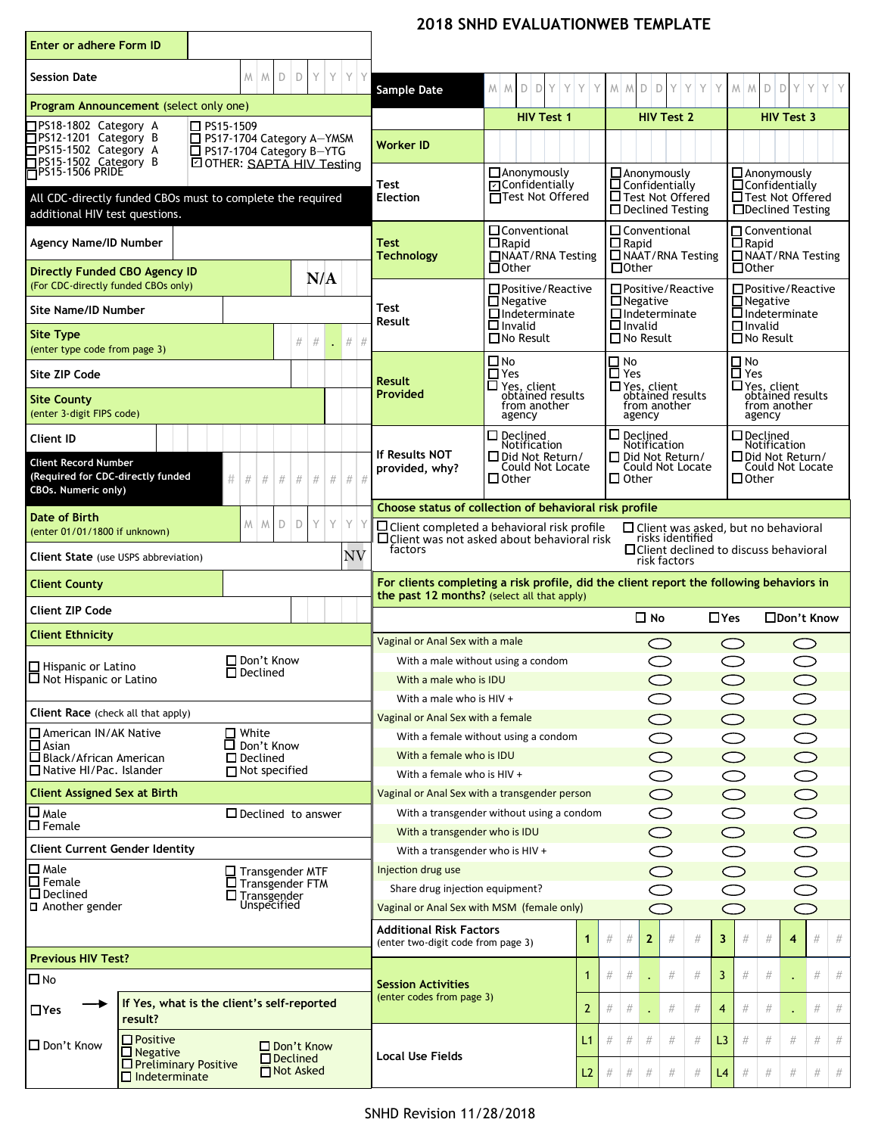|  | <b>2018 SNHD EVALUATIONWEB TEMPLATE</b> |  |
|--|-----------------------------------------|--|
|--|-----------------------------------------|--|

| <b>Enter or adhere Form ID</b>                                                                                                                                                                                                                                                                                                                                         |                                            |                                                                       |                                                |                                                                                                |                                                                    |                                                                                                         |                                                                     |                                                                     |      |                                     |      |   |
|------------------------------------------------------------------------------------------------------------------------------------------------------------------------------------------------------------------------------------------------------------------------------------------------------------------------------------------------------------------------|--------------------------------------------|-----------------------------------------------------------------------|------------------------------------------------|------------------------------------------------------------------------------------------------|--------------------------------------------------------------------|---------------------------------------------------------------------------------------------------------|---------------------------------------------------------------------|---------------------------------------------------------------------|------|-------------------------------------|------|---|
| <b>Session Date</b>                                                                                                                                                                                                                                                                                                                                                    | D<br>M<br>$M_{\odot}$                      | Y<br>Y<br>D                                                           | Y<br>Y                                         | Sample Date                                                                                    | $M$ $M$ $D$ $D$ $Y$ $Y$ $Y$ $Y$                                    | $M$ $M$ $D$ $D$ $Y$ $Y$ $Y$                                                                             |                                                                     | $M$ $M$ $D$ $D$ $Y$ $Y$ $Y$                                         |      |                                     |      |   |
| Program Announcement (select only one)                                                                                                                                                                                                                                                                                                                                 |                                            |                                                                       |                                                |                                                                                                | <b>HIV Test 1</b>                                                  | <b>HIV Test 2</b>                                                                                       |                                                                     |                                                                     |      | <b>HIV Test 3</b>                   |      |   |
| □PS18-1802 Category A<br>□ PS15-1509<br>□PS12-1201 Category B<br>$\Box$ PS17-1704 Category A-YMSM<br>PS15-1502 Category A<br>□ PS17-1704 Category B-YTG<br><b>DOTHER: SAPTA HIV Testing</b>                                                                                                                                                                            |                                            | <b>Worker ID</b>                                                      |                                                |                                                                                                |                                                                    |                                                                                                         |                                                                     |                                                                     |      |                                     |      |   |
| □PS15-1502 Category B<br>□PS15-1506 PRIDE<br>All CDC-directly funded CBOs must to complete the required<br>additional HIV test questions.                                                                                                                                                                                                                              |                                            |                                                                       |                                                | <b>Test</b><br><b>Election</b>                                                                 | $\Box$ Anonymously<br>□ Confidentially<br><b>TTest Not Offered</b> | $\Box$ Anonymously<br>$\overline{\Box}$ Confidentially<br>□ Test Not Offered<br>$\Box$ Declined Testing |                                                                     | $\Box$ Anonymously<br>$\Box$ Confidentially<br>Test Not Offered     |      | □Declined Testing                   |      |   |
| <b>Agency Name/ID Number</b>                                                                                                                                                                                                                                                                                                                                           |                                            |                                                                       |                                                | <b>O</b> Conventional<br><b>Test</b><br>$\Box$ Rapid<br>□NAAT/RNA Testing<br><b>Technology</b> |                                                                    | $\square$ Conventional<br>$\square$ Rapid<br>$\Box$ NAAT/RNA Testing                                    | $\Box$ Conventional<br>$\overline{\Box}$ Rapid<br>NAAT/RNA Testing  |                                                                     |      |                                     |      |   |
| <b>Directly Funded CBO Agency ID</b><br>(For CDC-directly funded CBOs only)                                                                                                                                                                                                                                                                                            |                                            | N/A                                                                   |                                                |                                                                                                | $\Box$ Other<br>$\Box$ Positive / Reactive                         | $\Box$ Other<br>$\Box$ Positive/Reactive                                                                |                                                                     | $\Box$ Other                                                        |      | $\Box$ Positive/Reactive            |      |   |
| <b>Site Name/ID Number</b>                                                                                                                                                                                                                                                                                                                                             |                                            |                                                                       |                                                | Test                                                                                           | $\Box$ Negative<br>$\Box$ Indeterminate                            | $\Box$ Negative<br>$\Box$ Indeterminate                                                                 | $\Box$ Negative<br>$\Box$ Indeterminate                             |                                                                     |      |                                     |      |   |
| <b>Site Type</b><br>(enter type code from page 3)                                                                                                                                                                                                                                                                                                                      |                                            | #<br>$\#$<br>÷.                                                       | $#$ #                                          | Result<br>$\square$ Invalid<br>$\Box$ No Result                                                |                                                                    | $\Box$ Invalid<br>$\Box$ No Result                                                                      | $\Box$ Invalid<br>$\overline{\Box}$ No Result                       |                                                                     |      |                                     |      |   |
| Site ZIP Code                                                                                                                                                                                                                                                                                                                                                          |                                            |                                                                       |                                                |                                                                                                | $\square$ No<br>$\Box$ Yes                                         | $\frac{\Box \text{ No}}{\text{Yes}}$                                                                    |                                                                     | $\frac{\square}{\square}$ No<br>$\frac{\square}{\triangle}$ Yes     |      |                                     |      |   |
| <b>Site County</b><br>(enter 3-digit FIPS code)                                                                                                                                                                                                                                                                                                                        |                                            |                                                                       |                                                | <b>Result</b><br>$\Box$ Yes, client<br>obtained results<br>Provided<br>from another<br>agency  |                                                                    | □ Yes, client<br>obtained results<br>from another<br>agency                                             | $\square$ Yes, client<br>obtained results<br>from another<br>agency |                                                                     |      |                                     |      |   |
| <b>Client ID</b>                                                                                                                                                                                                                                                                                                                                                       |                                            |                                                                       |                                                |                                                                                                | $\Box$ Declined<br>Notification                                    | $\square$ Declined<br>Notification                                                                      |                                                                     | $\Box$ Declined                                                     |      |                                     |      |   |
| <b>Client Record Number</b><br>(Required for CDC-directly funded<br>CBOs. Numeric only)                                                                                                                                                                                                                                                                                | #<br>#<br>#<br>#                           | $\#$<br>$\#$<br>$\#$                                                  | $\#$ #                                         | <b>If Results NOT</b><br>provided, why?                                                        | □ Did Not Return/<br>Could Not Locate<br>$\square$ Other           | D Did Not Return/<br>Could Not Locate<br>$\Box$ Other                                                   |                                                                     | Notification<br>Did Not Return/<br>Could Not Locate<br>$\Box$ Other |      |                                     |      |   |
|                                                                                                                                                                                                                                                                                                                                                                        |                                            |                                                                       |                                                | Choose status of collection of behavioral risk profile                                         |                                                                    |                                                                                                         |                                                                     |                                                                     |      |                                     |      |   |
| Date of Birth<br>M<br>D<br>D<br>Y<br>Y<br>Y<br>M<br>$\Box$ Client completed a behavioral risk profile<br>$\Box$ Client was asked, but no behavioral<br>(enter 01/01/1800 if unknown)<br>$\Box$ Client was not asked about behavioral risk<br>risks identified<br>factors<br>$\Box$ Client declined to discuss behavioral<br>NV<br>Client State (use USPS abbreviation) |                                            |                                                                       |                                                |                                                                                                |                                                                    |                                                                                                         |                                                                     |                                                                     |      |                                     |      |   |
| risk factors<br>For clients completing a risk profile, did the client report the following behaviors in<br><b>Client County</b>                                                                                                                                                                                                                                        |                                            |                                                                       |                                                |                                                                                                |                                                                    |                                                                                                         |                                                                     |                                                                     |      |                                     |      |   |
| <b>Client ZIP Code</b>                                                                                                                                                                                                                                                                                                                                                 |                                            |                                                                       |                                                |                                                                                                | the past 12 months? (select all that apply)                        | $\Box$ No                                                                                               | $\Box$ Yes                                                          |                                                                     |      | □Don't Know                         |      |   |
| <b>Client Ethnicity</b>                                                                                                                                                                                                                                                                                                                                                |                                            |                                                                       |                                                | Vaginal or Anal Sex with a male                                                                |                                                                    |                                                                                                         |                                                                     |                                                                     |      |                                     |      |   |
|                                                                                                                                                                                                                                                                                                                                                                        | □ Don't Know                               |                                                                       |                                                |                                                                                                | With a male without using a condom                                 |                                                                                                         |                                                                     |                                                                     |      |                                     |      |   |
| $\Box$ Hispanic or Latino<br>$\sqcup$ Not Hispanic or Latino                                                                                                                                                                                                                                                                                                           | $\square$ Declined                         |                                                                       |                                                | With a male who is IDU                                                                         | $\circ$                                                            |                                                                                                         | $\bigcirc$<br>$\bigcirc$                                            |                                                                     |      |                                     |      |   |
| Client Race (check all that apply)                                                                                                                                                                                                                                                                                                                                     |                                            |                                                                       |                                                | With a male who is HIV +                                                                       |                                                                    | $\bigcirc$                                                                                              |                                                                     | ◯                                                                   |      |                                     |      |   |
| □ American IN/AK Native                                                                                                                                                                                                                                                                                                                                                | $\Box$ White                               |                                                                       |                                                | Vaginal or Anal Sex with a female                                                              |                                                                    | $\bigcirc$<br>$\bigcirc$                                                                                |                                                                     | $\bigcirc$                                                          |      | $\bigcirc$                          |      |   |
| $\sqcap$ Asian<br>□ Black/African American                                                                                                                                                                                                                                                                                                                             | □ Don't Know<br>$\square$ Declined         |                                                                       |                                                | With a female without using a condom<br>With a female who is IDU                               |                                                                    | $\bigcirc$                                                                                              |                                                                     | $\bigcirc$<br>$\bigcirc$                                            |      | $\bigcirc$                          |      |   |
| □ Native HI/Pac. Islander<br>$\Box$ Not specified                                                                                                                                                                                                                                                                                                                      |                                            | With a female who is HIV +                                            |                                                | $\bigcirc$                                                                                     |                                                                    | $\bigcirc$                                                                                              |                                                                     | $\bigcirc$                                                          |      |                                     |      |   |
| <b>Client Assigned Sex at Birth</b>                                                                                                                                                                                                                                                                                                                                    |                                            |                                                                       |                                                |                                                                                                | Vaginal or Anal Sex with a transgender person                      | $\bigcirc$                                                                                              |                                                                     | $\circ$                                                             |      | $\overline{\bigcirc}$               |      |   |
| $\square$ Male<br>$\square$ Female                                                                                                                                                                                                                                                                                                                                     | $\Box$ Declined to answer                  |                                                                       |                                                |                                                                                                | With a transgender without using a condom                          | $\bigcirc$                                                                                              |                                                                     | $\bigcirc$                                                          |      | $\bigcirc$                          |      |   |
| <b>Client Current Gender Identity</b>                                                                                                                                                                                                                                                                                                                                  |                                            |                                                                       |                                                | With a transgender who is IDU<br>With a transgender who is HIV +                               |                                                                    | $\bigcirc$<br>$\bigcirc$                                                                                |                                                                     | $\bigcirc$<br>$\circlearrowright$                                   |      | $\bigcirc$<br>$\overline{\bigcirc}$ |      |   |
| $\Box$ Male<br>$\Box$ Transgender MTF                                                                                                                                                                                                                                                                                                                                  |                                            |                                                                       | Injection drug use<br>$\bigcirc$<br>$\bigcirc$ |                                                                                                |                                                                    |                                                                                                         |                                                                     |                                                                     |      |                                     |      |   |
| $\Box$ Female<br>$\square$ Transgender FTM<br>$\Box$ Declined<br>□ Transgender<br>Unspecified<br>$\Box$ Another gender                                                                                                                                                                                                                                                 |                                            | Share drug injection equipment?                                       |                                                | $\bigcirc$                                                                                     |                                                                    | $\bigcirc$                                                                                              |                                                                     |                                                                     |      |                                     |      |   |
|                                                                                                                                                                                                                                                                                                                                                                        |                                            | Vaginal or Anal Sex with MSM (female only)<br>$\bigcirc$<br>$\subset$ |                                                |                                                                                                |                                                                    |                                                                                                         |                                                                     |                                                                     |      |                                     |      |   |
|                                                                                                                                                                                                                                                                                                                                                                        |                                            | <b>Additional Risk Factors</b>                                        |                                                | #<br>#<br>$\mathbf{2}$<br>#                                                                    | 3<br>#                                                             | $\#$                                                                                                    | $\#$                                                                | 4                                                                   | #    | #                                   |      |   |
|                                                                                                                                                                                                                                                                                                                                                                        |                                            |                                                                       |                                                | (enter two-digit code from page 3)                                                             | 1.                                                                 |                                                                                                         |                                                                     |                                                                     |      |                                     |      |   |
| <b>Previous HIV Test?</b>                                                                                                                                                                                                                                                                                                                                              |                                            |                                                                       |                                                |                                                                                                | 1                                                                  | $\#$<br>$\#$<br>#                                                                                       | 3<br>#                                                              | $\#$                                                                | $\#$ |                                     | #    | # |
| $\square$ No<br>$\Box$ Yes                                                                                                                                                                                                                                                                                                                                             | If Yes, what is the client's self-reported |                                                                       |                                                | <b>Session Activities</b><br>(enter codes from page 3)                                         | 2                                                                  | $\#$<br>$\#$<br>$\#$                                                                                    | #<br>$\overline{4}$                                                 | $\#$                                                                | $\#$ |                                     | $\#$ | # |
| result?<br>$\Box$ Positive<br>□ Don't Know                                                                                                                                                                                                                                                                                                                             |                                            | □ Don't Know                                                          |                                                |                                                                                                | L1                                                                 | $\#$<br>$\#$<br>#<br>#                                                                                  | L3<br>#                                                             | #                                                                   | $\#$ | #                                   | #    | # |